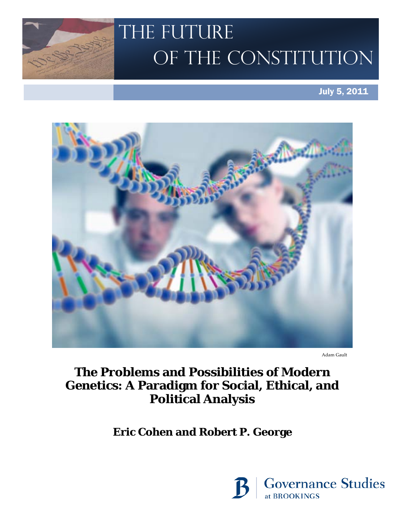

# THE FUTURE OF THE CONSTITUTION

## July 5, 2011



Adam Gault

**The Problems and Possibilities of Modern Genetics: A Paradigm for Social, Ethical, and Political Analysis**

**Eric Cohen and Robert P. George**

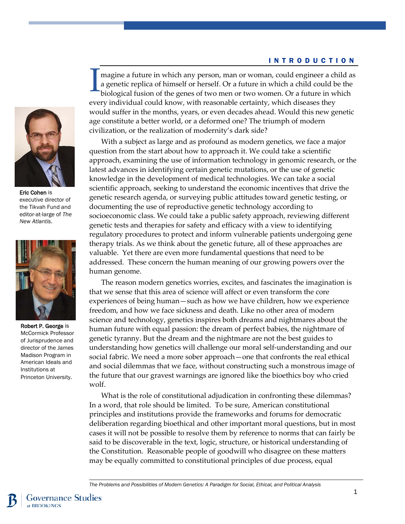#### INTRODUCTION



Eric Cohen is executive director of the Tikvah Fund and editor-at-large of *The New Atlantis*.



Robert P. George is McCormick Professor of Jurisprudence and director of the James Madison Program in American Ideals and Institutions at Princeton University.

magine a future in which any person, man or woman, could engineer a child as a genetic replica of himself or herself. Or a future in which a child could be the biological fusion of the genes of two men or two women. Or a future in which every individual could know, with reasonable certainty, which diseases they would suffer in the months, years, or even decades ahead. Would this new genetic age constitute a better world, or a deformed one? The triumph of modern civilization, or the realization of modernity's dark side? I

With a subject as large and as profound as modern genetics, we face a major question from the start about how to approach it. We could take a scientific approach, examining the use of information technology in genomic research, or the latest advances in identifying certain genetic mutations, or the use of genetic knowledge in the development of medical technologies. We can take a social scientific approach, seeking to understand the economic incentives that drive the genetic research agenda, or surveying public attitudes toward genetic testing, or documenting the use of reproductive genetic technology according to socioeconomic class. We could take a public safety approach, reviewing different genetic tests and therapies for safety and efficacy with a view to identifying regulatory procedures to protect and inform vulnerable patients undergoing gene therapy trials. As we think about the genetic future, all of these approaches are valuable. Yet there are even more fundamental questions that need to be addressed. These concern the human meaning of our growing powers over the human genome.

The reason modern genetics worries, excites, and fascinates the imagination is that we sense that this area of science will affect or even transform the core experiences of being human—such as how we have children, how we experience freedom, and how we face sickness and death. Like no other area of modern science and technology, genetics inspires both dreams and nightmares about the human future with equal passion: the dream of perfect babies, the nightmare of genetic tyranny. But the dream and the nightmare are not the best guides to understanding how genetics will challenge our moral self-understanding and our social fabric. We need a more sober approach—one that confronts the real ethical and social dilemmas that we face, without constructing such a monstrous image of the future that our gravest warnings are ignored like the bioethics boy who cried wolf.

What is the role of constitutional adjudication in confronting these dilemmas? In a word, that role should be limited. To be sure, American constitutional principles and institutions provide the frameworks and forums for democratic deliberation regarding bioethical and other important moral questions, but in most cases it will not be possible to resolve them by reference to norms that can fairly be said to be discoverable in the text, logic, structure, or historical understanding of the Constitution. Reasonable people of goodwill who disagree on these matters may be equally committed to constitutional principles of due process, equal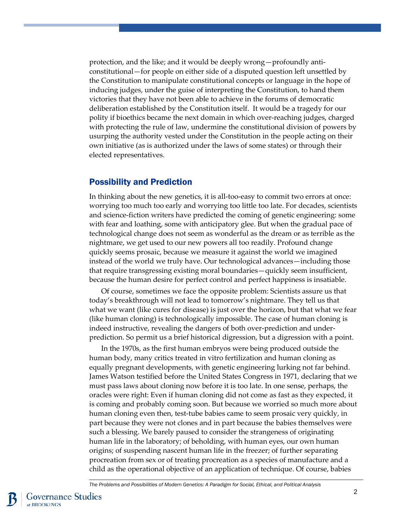protection, and the like; and it would be deeply wrong—profoundly anticonstitutional—for people on either side of a disputed question left unsettled by the Constitution to manipulate constitutional concepts or language in the hope of inducing judges, under the guise of interpreting the Constitution, to hand them victories that they have not been able to achieve in the forums of democratic deliberation established by the Constitution itself. It would be a tragedy for our polity if bioethics became the next domain in which over-reaching judges, charged with protecting the rule of law, undermine the constitutional division of powers by usurping the authority vested under the Constitution in the people acting on their own initiative (as is authorized under the laws of some states) or through their elected representatives.

#### Possibility and Prediction

In thinking about the new genetics, it is all-too-easy to commit two errors at once: worrying too much too early and worrying too little too late. For decades, scientists and science-fiction writers have predicted the coming of genetic engineering: some with fear and loathing, some with anticipatory glee. But when the gradual pace of technological change does not seem as wonderful as the dream or as terrible as the nightmare, we get used to our new powers all too readily. Profound change quickly seems prosaic, because we measure it against the world we imagined instead of the world we truly have. Our technological advances—including those that require transgressing existing moral boundaries—quickly seem insufficient, because the human desire for perfect control and perfect happiness is insatiable.

Of course, sometimes we face the opposite problem: Scientists assure us that today's breakthrough will not lead to tomorrow's nightmare. They tell us that what we want (like cures for disease) is just over the horizon, but that what we fear (like human cloning) is technologically impossible. The case of human cloning is indeed instructive, revealing the dangers of both over-prediction and underprediction. So permit us a brief historical digression, but a digression with a point.

In the 1970s, as the first human embryos were being produced outside the human body, many critics treated in vitro fertilization and human cloning as equally pregnant developments, with genetic engineering lurking not far behind. James Watson testified before the United States Congress in 1971, declaring that we must pass laws about cloning now before it is too late. In one sense, perhaps, the oracles were right: Even if human cloning did not come as fast as they expected, it is coming and probably coming soon. But because we worried so much more about human cloning even then, test-tube babies came to seem prosaic very quickly, in part because they were not clones and in part because the babies themselves were such a blessing. We barely paused to consider the strangeness of originating human life in the laboratory; of beholding, with human eyes, our own human origins; of suspending nascent human life in the freezer; of further separating procreation from sex or of treating procreation as a species of manufacture and a child as the operational objective of an application of technique. Of course, babies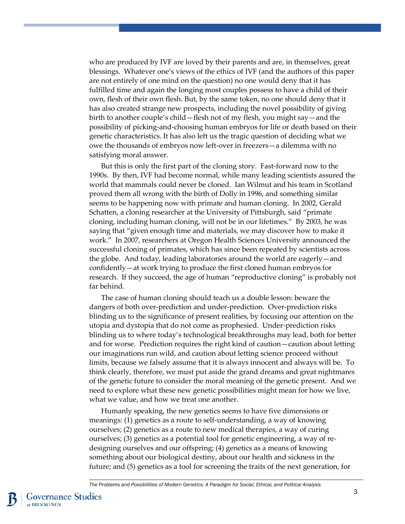who are produced by IVF are loved by their parents and are, in themselves, great blessings. Whatever one's views of the ethics of IVF (and the authors of this paper are not entirely of one mind on the question) no one would deny that it has fulfilled time and again the longing most couples possess to have a child of their own, flesh of their own flesh. But, by the same token, no one should deny that it has also created strange new prospects, including the novel possibility of giving birth to another couple's child—flesh not of my flesh, you might say—and the possibility of picking-and-choosing human embryos for life or death based on their genetic characteristics. It has also left us the tragic question of deciding what we owe the thousands of embryos now left-over in freezers—a dilemma with no satisfying moral answer.

But this is only the first part of the cloning story. Fast-forward now to the 1990s. By then, IVF had become normal, while many leading scientists assured the world that mammals could never be cloned. Ian Wilmut and his team in Scotland proved them all wrong with the birth of Dolly in 1996, and something similar seems to be happening now with primate and human cloning. In 2002, Gerald Schatten, a cloning researcher at the University of Pittsburgh, said "primate cloning, including human cloning, will not be in our lifetimes." By 2003, he was saying that "given enough time and materials, we may discover how to make it work." In 2007, researchers at Oregon Health Sciences University announced the successful cloning of primates, which has since been repeated by scientists across the globe. And today, leading laboratories around the world are eagerly—and confidently—at work trying to produce the first cloned human embryos for research. If they succeed, the age of human "reproductive cloning" is probably not far behind.

The case of human cloning should teach us a double lesson: beware the dangers of both over-prediction and under-prediction. Over-prediction risks blinding us to the significance of present realities, by focusing our attention on the utopia and dystopia that do not come as prophesied. Under-prediction risks blinding us to where today's technological breakthroughs may lead, both for better and for worse. Prediction requires the right kind of caution—caution about letting our imaginations run wild, and caution about letting science proceed without limits, because we falsely assume that it is always innocent and always will be. To think clearly, therefore, we must put aside the grand dreams and great nightmares of the genetic future to consider the moral meaning of the genetic present. And we need to explore what these new genetic possibilities might mean for how we live, what we value, and how we treat one another.

Humanly speaking, the new genetics seems to have five dimensions or meanings: (1) genetics as a route to self-understanding, a way of knowing ourselves; (2) genetics as a route to new medical therapies, a way of curing ourselves; (3) genetics as a potential tool for genetic engineering, a way of redesigning ourselves and our offspring; (4) genetics as a means of knowing something about our biological destiny, about our health and sickness in the future; and (5) genetics as a tool for screening the traits of the next generation, for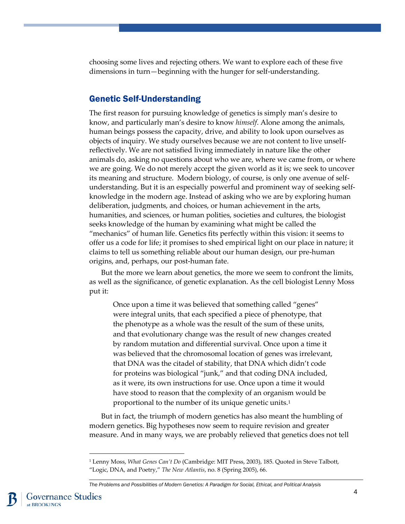choosing some lives and rejecting others. We want to explore each of these five dimensions in turn—beginning with the hunger for self-understanding.

### Genetic Self-Understanding

The first reason for pursuing knowledge of genetics is simply man's desire to know, and particularly man's desire to know *himself*. Alone among the animals, human beings possess the capacity, drive, and ability to look upon ourselves as objects of inquiry. We study ourselves because we are not content to live unselfreflectively. We are not satisfied living immediately in nature like the other animals do, asking no questions about who we are, where we came from, or where we are going. We do not merely accept the given world as it is; we seek to uncover its meaning and structure. Modern biology, of course, is only one avenue of selfunderstanding. But it is an especially powerful and prominent way of seeking selfknowledge in the modern age. Instead of asking who we are by exploring human deliberation, judgments, and choices, or human achievement in the arts, humanities, and sciences, or human polities, societies and cultures, the biologist seeks knowledge of the human by examining what might be called the "mechanics" of human life. Genetics fits perfectly within this vision: it seems to offer us a code for life; it promises to shed empirical light on our place in nature; it claims to tell us something reliable about our human design, our pre-human origins, and, perhaps, our post-human fate.

But the more we learn about genetics, the more we seem to confront the limits, as well as the significance, of genetic explanation. As the cell biologist Lenny Moss put it:

Once upon a time it was believed that something called "genes" were integral units, that each specified a piece of phenotype, that the phenotype as a whole was the result of the sum of these units, and that evolutionary change was the result of new changes created by random mutation and differential survival. Once upon a time it was believed that the chromosomal location of genes was irrelevant, that DNA was the citadel of stability, that DNA which didn't code for proteins was biological "junk," and that coding DNA included, as it were, its own instructions for use. Once upon a time it would have stood to reason that the complexity of an organis[m](#page-4-0) would be proportional to the number of its unique genetic units.<sup>1</sup>

But in fact, the triumph of modern genetics has also meant the humbling of modern genetics. Big hypotheses now seem to require revision and greater measure. And in many ways, we are probably relieved that genetics does not tell

 $\overline{a}$ 

<span id="page-4-0"></span><sup>1</sup> Lenny Moss, *What Genes Can't Do* (Cambridge: MIT Press, 2003), 185. Quoted in Steve Talbott, "Logic, DNA, and Poetry," *The New Atlantis*, no. 8 (Spring 2005), 66.

*The Problems and Possibilities of Modern Genetics: A Paradigm for Social, Ethical, and Political Analysis*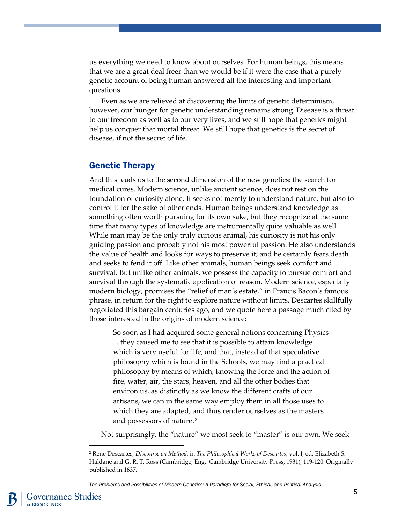us everything we need to know about ourselves. For human beings, this means that we are a great deal freer than we would be if it were the case that a purely genetic account of being human answered all the interesting and important questions.

Even as we are relieved at discovering the limits of genetic determinism, however, our hunger for genetic understanding remains strong. Disease is a threat to our freedom as well as to our very lives, and we still hope that genetics might help us conquer that mortal threat. We still hope that genetics is the secret of disease, if not the secret of life.

#### Genetic Therapy

And this leads us to the second dimension of the new genetics: the search for medical cures. Modern science, unlike ancient science, does not rest on the foundation of curiosity alone. It seeks not merely to understand nature, but also to control it for the sake of other ends. Human beings understand knowledge as something often worth pursuing for its own sake, but they recognize at the same time that many types of knowledge are instrumentally quite valuable as well. While man may be the only truly curious animal, his curiosity is not his only guiding passion and probably not his most powerful passion. He also understands the value of health and looks for ways to preserve it; and he certainly fears death and seeks to fend it off. Like other animals, human beings seek comfort and survival. But unlike other animals, we possess the capacity to pursue comfort and survival through the systematic application of reason. Modern science, especially modern biology, promises the "relief of man's estate," in Francis Bacon's famous phrase, in return for the right to explore nature without limits. Descartes skillfully negotiated this bargain centuries ago, and we quote here a passage much cited by those interested in the origins of modern science:

So soon as I had acquired some general notions concerning Physics ... they caused me to see that it is possible to attain knowledge which is very useful for life, and that, instead of that speculative philosophy which is found in the Schools, we may find a practical philosophy by means of which, knowing the force and the action of fire, water, air, the stars, heaven, and all the other bodies that environ us, as distinctly as we know the different crafts of our artisans, we can in the same way employ them in all those uses to which they are adapted, [an](#page-5-0)d thus render ourselves as the masters and possessors of nature.<sup>2</sup>

Not surprisingly, the "nature" we most seek to "master" is our own. We seek

 $\overline{a}$ 

<span id="page-5-0"></span><sup>2</sup> Rene Descartes, *Discourse on Method*, in *The Philosophical Works of Descartes*, vol. I, ed. Elizabeth S. Haldane and G. R. T. Ross (Cambridge, Eng.: Cambridge University Press, 1931), 119-120. Originally published in 1637.

*The Problems and Possibilities of Modern Genetics: A Paradigm for Social, Ethical, and Political Analysis*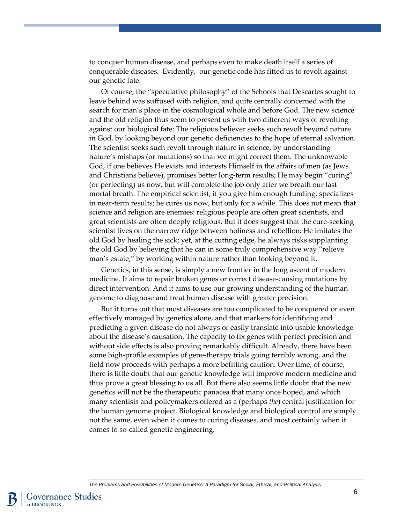to conquer human disease, and perhaps even to make death itself a series of conquerable diseases. Evidently, our genetic code has fitted us to revolt against our genetic fate.

Of course, the "speculative philosophy" of the Schools that Descartes sought to leave behind was suffused with religion, and quite centrally concerned with the search for man's place in the cosmological whole and before God. The new science and the old religion thus seem to present us with two different ways of revolting against our biological fate: The religious believer seeks such revolt beyond nature in God, by looking beyond our genetic deficiencies to the hope of eternal salvation. The scientist seeks such revolt through nature in science, by understanding nature's mishaps (or mutations) so that we might correct them. The unknowable God, if one believes He exists and interests Himself in the affairs of men (as Jews and Christians believe), promises better long-term results; He may begin "curing" (or perfecting) us now, but will complete the job only after we breath our last mortal breath. The empirical scientist, if you give him enough funding, specializes in near-term results; he cures us now, but only for a while. This does not mean that science and religion are enemies: religious people are often great scientists, and great scientists are often deeply religious. But it does suggest that the cure-seeking scientist lives on the narrow ridge between holiness and rebellion: He imitates the old God by healing the sick; yet, at the cutting edge, he always risks supplanting the old God by believing that he can in some truly comprehensive way "relieve man's estate," by working within nature rather than looking beyond it.

Genetics, in this sense, is simply a new frontier in the long ascent of modern medicine. It aims to repair broken genes or correct disease-causing mutations by direct intervention. And it aims to use our growing understanding of the human genome to diagnose and treat human disease with greater precision.

But it turns out that most diseases are too complicated to be conquered or even effectively managed by genetics alone, and that markers for identifying and predicting a given disease do not always or easily translate into usable knowledge about the disease's causation. The capacity to fix genes with perfect precision and without side effects is also proving remarkably difficult. Already, there have been some high-profile examples of gene-therapy trials going terribly wrong, and the field now proceeds with perhaps a more befitting caution. Over time, of course, there is little doubt that our genetic knowledge will improve modern medicine and thus prove a great blessing to us all. But there also seems little doubt that the new genetics will not be the therapeutic panacea that many once hoped, and which many scientists and policymakers offered as a (perhaps *the*) central justification for the human genome project. Biological knowledge and biological control are simply not the same, even when it comes to curing diseases, and most certainly when it comes to so-called genetic engineering.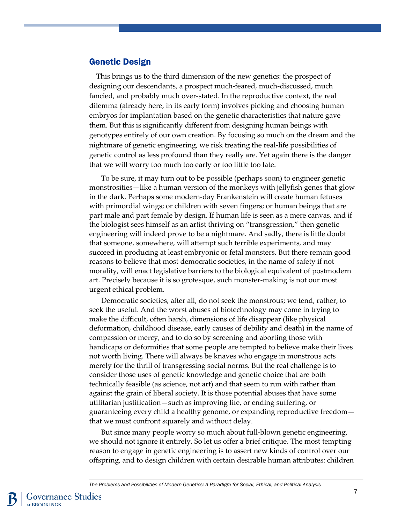#### Genetic Design

This brings us to the third dimension of the new genetics: the prospect of designing our descendants, a prospect much-feared, much-discussed, much fancied, and probably much over-stated. In the reproductive context, the real dilemma (already here, in its early form) involves picking and choosing human embryos for implantation based on the genetic characteristics that nature gave them. But this is significantly different from designing human beings with genotypes entirely of our own creation. By focusing so much on the dream and the nightmare of genetic engineering, we risk treating the real-life possibilities of genetic control as less profound than they really are. Yet again there is the danger that we will worry too much too early or too little too late.

To be sure, it may turn out to be possible (perhaps soon) to engineer genetic monstrosities—like a human version of the monkeys with jellyfish genes that glow in the dark. Perhaps some modern-day Frankenstein will create human fetuses with primordial wings; or children with seven fingers; or human beings that are part male and part female by design. If human life is seen as a mere canvas, and if the biologist sees himself as an artist thriving on "transgression," then genetic engineering will indeed prove to be a nightmare. And sadly, there is little doubt that someone, somewhere, will attempt such terrible experiments, and may succeed in producing at least embryonic or fetal monsters. But there remain good reasons to believe that most democratic societies, in the name of safety if not morality, will enact legislative barriers to the biological equivalent of postmodern art. Precisely because it is so grotesque, such monster-making is not our most urgent ethical problem.

Democratic societies, after all, do not seek the monstrous; we tend, rather, to seek the useful. And the worst abuses of biotechnology may come in trying to make the difficult, often harsh, dimensions of life disappear (like physical deformation, childhood disease, early causes of debility and death) in the name of compassion or mercy, and to do so by screening and aborting those with handicaps or deformities that some people are tempted to believe make their lives not worth living. There will always be knaves who engage in monstrous acts merely for the thrill of transgressing social norms. But the real challenge is to consider those uses of genetic knowledge and genetic choice that are both technically feasible (as science, not art) and that seem to run with rather than against the grain of liberal society. It is those potential abuses that have some utilitarian justification—such as improving life, or ending suffering, or guaranteeing every child a healthy genome, or expanding reproductive freedom that we must confront squarely and without delay.

But since many people worry so much about full-blown genetic engineering, we should not ignore it entirely. So let us offer a brief critique. The most tempting reason to engage in genetic engineering is to assert new kinds of control over our offspring, and to design children with certain desirable human attributes: children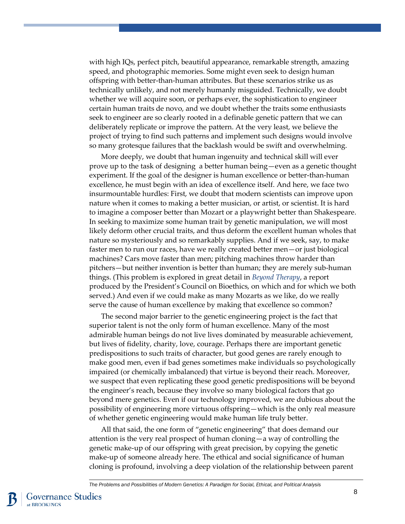with high IQs, perfect pitch, beautiful appearance, remarkable strength, amazing speed, and photographic memories. Some might even seek to design human offspring with better-than-human attributes. But these scenarios strike us as technically unlikely, and not merely humanly misguided. Technically, we doubt whether we will acquire soon, or perhaps ever, the sophistication to engineer certain human traits de novo, and we doubt whether the traits some enthusiasts seek to engineer are so clearly rooted in a definable genetic pattern that we can deliberately replicate or improve the pattern. At the very least, we believe the project of trying to find such patterns and implement such designs would involve so many grotesque failures that the backlash would be swift and overwhelming.

More deeply, we doubt that human ingenuity and technical skill will ever prove up to the task of designing a better human being—even as a genetic thought experiment. If the goal of the designer is human excellence or better-than-human excellence, he must begin with an idea of excellence itself. And here, we face two insurmountable hurdles: First, we doubt that modern scientists can improve upon nature when it comes to making a better musician, or artist, or scientist. It is hard to imagine a composer better than Mozart or a playwright better than Shakespeare. In seeking to maximize some human trait by genetic manipulation, we will most likely deform other crucial traits, and thus deform the excellent human wholes that nature so mysteriously and so remarkably supplies. And if we seek, say, to make faster men to run our races, have we really created better men—or just biological machines? Cars move faster than men; pitching machines throw harder than pitchers—but neither invention is better than human; they are merely sub-human things. (This problem is explored in great detail in *Beyond Therapy*, a report produced by the President's Council on Bioethics, on which and for which we both served.) And even if we could make as many Mozarts as we like, do we really serve the cause of human excellence by making that excellence so common?

The second major barrier to the genetic engineering project is the fact that superior talent is not the only form of human excellence. Many of the most admirable human beings do not live lives dominated by measurable achievement, but lives of fidelity, charity, love, courage. Perhaps there are important genetic predispositions to such traits of character, but good genes are rarely enough to make good men, even if bad genes sometimes make individuals so psychologically impaired (or chemically imbalanced) that virtue is beyond their reach. Moreover, we suspect that even replicating these good genetic predispositions will be beyond the engineer's reach, because they involve so many biological factors that go beyond mere genetics. Even if our technology improved, we are dubious about the possibility of engineering more virtuous offspring—which is the only real measure of whether genetic engineering would make human life truly better.

All that said, the one form of "genetic engineering" that does demand our attention is the very real prospect of human cloning—a way of controlling the genetic make-up of our offspring with great precision, by copying the genetic make-up of someone already here. The ethical and social significance of human cloning is profound, involving a deep violation of the relationship between parent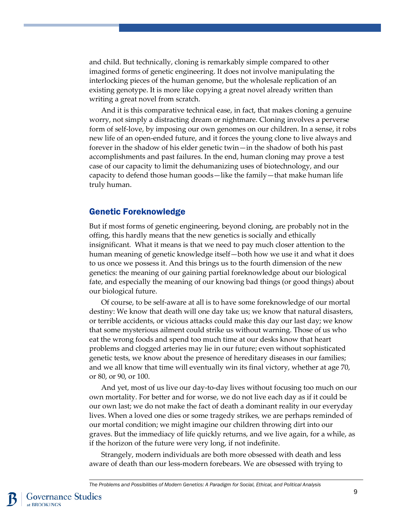and child. But technically, cloning is remarkably simple compared to other imagined forms of genetic engineering. It does not involve manipulating the interlocking pieces of the human genome, but the wholesale replication of an existing genotype. It is more like copying a great novel already written than writing a great novel from scratch.

And it is this comparative technical ease, in fact, that makes cloning a genuine worry, not simply a distracting dream or nightmare. Cloning involves a perverse form of self-love, by imposing our own genomes on our children. In a sense, it robs new life of an open-ended future, and it forces the young clone to live always and forever in the shadow of his elder genetic twin—in the shadow of both his past accomplishments and past failures. In the end, human cloning may prove a test case of our capacity to limit the dehumanizing uses of biotechnology, and our capacity to defend those human goods—like the family—that make human life truly human.

#### Genetic Foreknowledge

But if most forms of genetic engineering, beyond cloning, are probably not in the offing, this hardly means that the new genetics is socially and ethically insignificant. What it means is that we need to pay much closer attention to the human meaning of genetic knowledge itself—both how we use it and what it does to us once we possess it. And this brings us to the fourth dimension of the new genetics: the meaning of our gaining partial foreknowledge about our biological fate, and especially the meaning of our knowing bad things (or good things) about our biological future.

Of course, to be self-aware at all is to have some foreknowledge of our mortal destiny: We know that death will one day take us; we know that natural disasters, or terrible accidents, or vicious attacks could make this day our last day; we know that some mysterious ailment could strike us without warning. Those of us who eat the wrong foods and spend too much time at our desks know that heart problems and clogged arteries may lie in our future; even without sophisticated genetic tests, we know about the presence of hereditary diseases in our families; and we all know that time will eventually win its final victory, whether at age 70, or 80, or 90, or 100.

And yet, most of us live our day-to-day lives without focusing too much on our own mortality. For better and for worse, we do not live each day as if it could be our own last; we do not make the fact of death a dominant reality in our everyday lives. When a loved one dies or some tragedy strikes, we are perhaps reminded of our mortal condition; we might imagine our children throwing dirt into our graves. But the immediacy of life quickly returns, and we live again, for a while, as if the horizon of the future were very long, if not indefinite.

Strangely, modern individuals are both more obsessed with death and less aware of death than our less-modern forebears. We are obsessed with trying to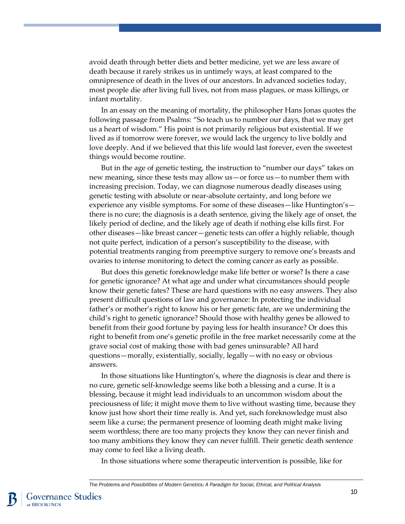avoid death through better diets and better medicine, yet we are less aware of death because it rarely strikes us in untimely ways, at least compared to the omnipresence of death in the lives of our ancestors. In advanced societies today, most people die after living full lives, not from mass plagues, or mass killings, or infant mortality.

In an essay on the meaning of mortality, the philosopher Hans Jonas quotes the following passage from Psalms: "So teach us to number our days, that we may get us a heart of wisdom." His point is not primarily religious but existential. If we lived as if tomorrow were forever, we would lack the urgency to live boldly and love deeply. And if we believed that this life would last forever, even the sweetest things would become routine.

But in the age of genetic testing, the instruction to "number our days" takes on new meaning, since these tests may allow us—or force us—to number them with increasing precision. Today, we can diagnose numerous deadly diseases using genetic testing with absolute or near-absolute certainty, and long before we experience any visible symptoms. For some of these diseases—like Huntington's there is no cure; the diagnosis is a death sentence, giving the likely age of onset, the likely period of decline, and the likely age of death if nothing else kills first. For other diseases—like breast cancer—genetic tests can offer a highly reliable, though not quite perfect, indication of a person's susceptibility to the disease, with potential treatments ranging from preemptive surgery to remove one's breasts and ovaries to intense monitoring to detect the coming cancer as early as possible.

But does this genetic foreknowledge make life better or worse? Is there a case for genetic ignorance? At what age and under what circumstances should people know their genetic fates? These are hard questions with no easy answers. They also present difficult questions of law and governance: In protecting the individual father's or mother's right to know his or her genetic fate, are we undermining the child's right to genetic ignorance? Should those with healthy genes be allowed to benefit from their good fortune by paying less for health insurance? Or does this right to benefit from one's genetic profile in the free market necessarily come at the grave social cost of making those with bad genes uninsurable? All hard questions—morally, existentially, socially, legally—with no easy or obvious answers.

In those situations like Huntington's, where the diagnosis is clear and there is no cure, genetic self-knowledge seems like both a blessing and a curse. It is a blessing, because it might lead individuals to an uncommon wisdom about the preciousness of life; it might move them to live without wasting time, because they know just how short their time really is. And yet, such foreknowledge must also seem like a curse; the permanent presence of looming death might make living seem worthless; there are too many projects they know they can never finish and too many ambitions they know they can never fulfill. Their genetic death sentence may come to feel like a living death.

In those situations where some therapeutic intervention is possible, like for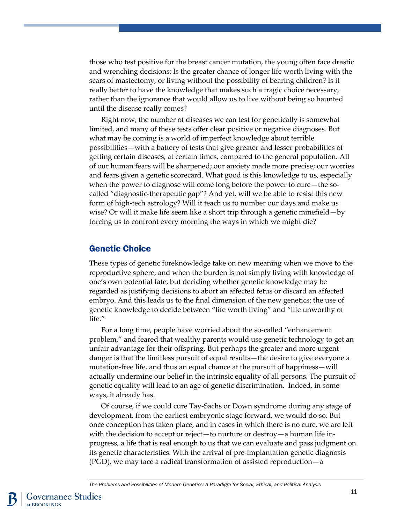those who test positive for the breast cancer mutation, the young often face drastic and wrenching decisions: Is the greater chance of longer life worth living with the scars of mastectomy, or living without the possibility of bearing children? Is it really better to have the knowledge that makes such a tragic choice necessary, rather than the ignorance that would allow us to live without being so haunted until the disease really comes?

Right now, the number of diseases we can test for genetically is somewhat limited, and many of these tests offer clear positive or negative diagnoses. But what may be coming is a world of imperfect knowledge about terrible possibilities—with a battery of tests that give greater and lesser probabilities of getting certain diseases, at certain times, compared to the general population. All of our human fears will be sharpened; our anxiety made more precise; our worries and fears given a genetic scorecard. What good is this knowledge to us, especially when the power to diagnose will come long before the power to cure—the socalled "diagnostic-therapeutic gap"? And yet, will we be able to resist this new form of high-tech astrology? Will it teach us to number our days and make us wise? Or will it make life seem like a short trip through a genetic minefield—by forcing us to confront every morning the ways in which we might die?

#### Genetic Choice

These types of genetic foreknowledge take on new meaning when we move to the reproductive sphere, and when the burden is not simply living with knowledge of one's own potential fate, but deciding whether genetic knowledge may be regarded as justifying decisions to abort an affected fetus or discard an affected embryo. And this leads us to the final dimension of the new genetics: the use of genetic knowledge to decide between "life worth living" and "life unworthy of life."

For a long time, people have worried about the so-called "enhancement problem," and feared that wealthy parents would use genetic technology to get an unfair advantage for their offspring. But perhaps the greater and more urgent danger is that the limitless pursuit of equal results—the desire to give everyone a mutation-free life, and thus an equal chance at the pursuit of happiness—will actually undermine our belief in the intrinsic equality of all persons. The pursuit of genetic equality will lead to an age of genetic discrimination. Indeed, in some ways, it already has.

Of course, if we could cure Tay-Sachs or Down syndrome during any stage of development, from the earliest embryonic stage forward, we would do so. But once conception has taken place, and in cases in which there is no cure, we are left with the decision to accept or reject—to nurture or destroy—a human life inprogress, a life that is real enough to us that we can evaluate and pass judgment on its genetic characteristics. With the arrival of pre-implantation genetic diagnosis (PGD), we may face a radical transformation of assisted reproduction—a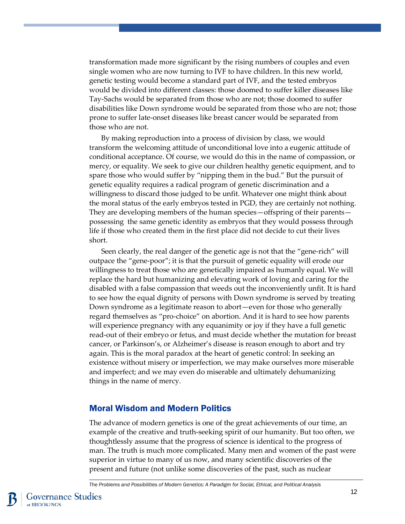transformation made more significant by the rising numbers of couples and even single women who are now turning to IVF to have children. In this new world, genetic testing would become a standard part of IVF, and the tested embryos would be divided into different classes: those doomed to suffer killer diseases like Tay-Sachs would be separated from those who are not; those doomed to suffer disabilities like Down syndrome would be separated from those who are not; those prone to suffer late-onset diseases like breast cancer would be separated from those who are not.

By making reproduction into a process of division by class, we would transform the welcoming attitude of unconditional love into a eugenic attitude of conditional acceptance. Of course, we would do this in the name of compassion, or mercy, or equality. We seek to give our children healthy genetic equipment, and to spare those who would suffer by "nipping them in the bud." But the pursuit of genetic equality requires a radical program of genetic discrimination and a willingness to discard those judged to be unfit. Whatever one might think about the moral status of the early embryos tested in PGD, they are certainly not nothing. They are developing members of the human species—offspring of their parents possessing the same genetic identity as embryos that they would possess through life if those who created them in the first place did not decide to cut their lives short.

Seen clearly, the real danger of the genetic age is not that the "gene-rich" will outpace the "gene-poor"; it is that the pursuit of genetic equality will erode our willingness to treat those who are genetically impaired as humanly equal. We will replace the hard but humanizing and elevating work of loving and caring for the disabled with a false compassion that weeds out the inconveniently unfit. It is hard to see how the equal dignity of persons with Down syndrome is served by treating Down syndrome as a legitimate reason to abort—even for those who generally regard themselves as "pro-choice" on abortion. And it is hard to see how parents will experience pregnancy with any equanimity or joy if they have a full genetic read-out of their embryo or fetus, and must decide whether the mutation for breast cancer, or Parkinson's, or Alzheimer's disease is reason enough to abort and try again. This is the moral paradox at the heart of genetic control: In seeking an existence without misery or imperfection, we may make ourselves more miserable and imperfect; and we may even do miserable and ultimately dehumanizing things in the name of mercy.

### Moral Wisdom and Modern Politics

The advance of modern genetics is one of the great achievements of our time, an example of the creative and truth-seeking spirit of our humanity. But too often, we thoughtlessly assume that the progress of science is identical to the progress of man. The truth is much more complicated. Many men and women of the past were superior in virtue to many of us now, and many scientific discoveries of the present and future (not unlike some discoveries of the past, such as nuclear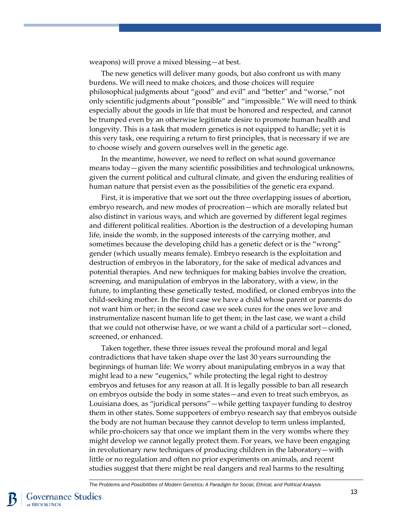weapons) will prove a mixed blessing—at best.

The new genetics will deliver many goods, but also confront us with many burdens. We will need to make choices, and those choices will require philosophical judgments about "good" and evil" and "better" and "worse," not only scientific judgments about "possible" and "impossible." We will need to think especially about the goods in life that must be honored and respected, and cannot be trumped even by an otherwise legitimate desire to promote human health and longevity. This is a task that modern genetics is not equipped to handle; yet it is this very task, one requiring a return to first principles, that is necessary if we are to choose wisely and govern ourselves well in the genetic age.

In the meantime, however, we need to reflect on what sound governance means today—given the many scientific possibilities and technological unknowns, given the current political and cultural climate, and given the enduring realities of human nature that persist even as the possibilities of the genetic era expand.

First, it is imperative that we sort out the three overlapping issues of abortion, embryo research, and new modes of procreation—which are morally related but also distinct in various ways, and which are governed by different legal regimes and different political realities. Abortion is the destruction of a developing human life, inside the womb, in the supposed interests of the carrying mother, and sometimes because the developing child has a genetic defect or is the "wrong" gender (which usually means female). Embryo research is the exploitation and destruction of embryos in the laboratory, for the sake of medical advances and potential therapies. And new techniques for making babies involve the creation, screening, and manipulation of embryos in the laboratory, with a view, in the future, to implanting these genetically tested, modified, or cloned embryos into the child-seeking mother. In the first case we have a child whose parent or parents do not want him or her; in the second case we seek cures for the ones we love and instrumentalize nascent human life to get them; in the last case, we want a child that we could not otherwise have, or we want a child of a particular sort—cloned, screened, or enhanced.

Taken together, these three issues reveal the profound moral and legal contradictions that have taken shape over the last 30 years surrounding the beginnings of human life: We worry about manipulating embryos in a way that might lead to a new "eugenics," while protecting the legal right to destroy embryos and fetuses for any reason at all. It is legally possible to ban all research on embryos outside the body in some states—and even to treat such embryos, as Louisiana does, as "juridical persons"—while getting taxpayer funding to destroy them in other states. Some supporters of embryo research say that embryos outside the body are not human because they cannot develop to term unless implanted, while pro-choicers say that once we implant them in the very wombs where they might develop we cannot legally protect them. For years, we have been engaging in revolutionary new techniques of producing children in the laboratory—with little or no regulation and often no prior experiments on animals, and recent studies suggest that there might be real dangers and real harms to the resulting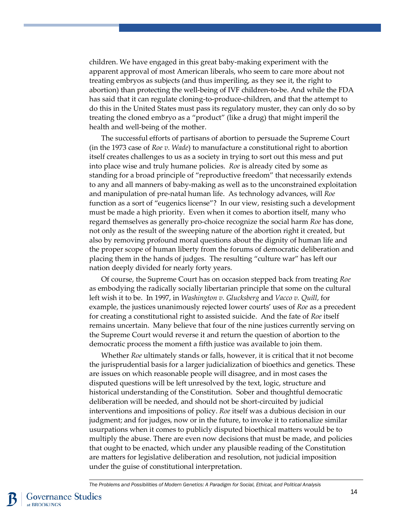children. We have engaged in this great baby-making experiment with the apparent approval of most American liberals, who seem to care more about not treating embryos as subjects (and thus imperiling, as they see it, the right to abortion) than protecting the well-being of IVF children-to-be. And while the FDA has said that it can regulate cloning-to-produce-children, and that the attempt to do this in the United States must pass its regulatory muster, they can only do so by treating the cloned embryo as a "product" (like a drug) that might imperil the health and well-being of the mother.

The successful efforts of partisans of abortion to persuade the Supreme Court (in the 1973 case of *Roe v. Wade*) to manufacture a constitutional right to abortion itself creates challenges to us as a society in trying to sort out this mess and put into place wise and truly humane policies. *Roe* is already cited by some as standing for a broad principle of "reproductive freedom" that necessarily extends to any and all manners of baby-making as well as to the unconstrained exploitation and manipulation of pre-natal human life. As technology advances, will *Roe* function as a sort of "eugenics license"? In our view, resisting such a development must be made a high priority. Even when it comes to abortion itself, many who regard themselves as generally pro-choice recognize the social harm *Roe* has done, not only as the result of the sweeping nature of the abortion right it created, but also by removing profound moral questions about the dignity of human life and the proper scope of human liberty from the forums of democratic deliberation and placing them in the hands of judges. The resulting "culture war" has left our nation deeply divided for nearly forty years.

Of course, the Supreme Court has on occasion stepped back from treating *Roe* as embodying the radically socially libertarian principle that some on the cultural left wish it to be. In 1997, in *Washington v. Glucksberg* and *Vacco v. Quill*, for example, the justices unanimously rejected lower courts' uses of *Roe* as a precedent for creating a constitutional right to assisted suicide. And the fate of *Roe* itself remains uncertain. Many believe that four of the nine justices currently serving on the Supreme Court would reverse it and return the question of abortion to the democratic process the moment a fifth justice was available to join them.

Whether *Roe* ultimately stands or falls, however, it is critical that it not become the jurisprudential basis for a larger judicialization of bioethics and genetics. These are issues on which reasonable people will disagree, and in most cases the disputed questions will be left unresolved by the text, logic, structure and historical understanding of the Constitution. Sober and thoughtful democratic deliberation will be needed, and should not be short-circuited by judicial interventions and impositions of policy. *Roe* itself was a dubious decision in our judgment; and for judges, now or in the future, to invoke it to rationalize similar usurpations when it comes to publicly disputed bioethical matters would be to multiply the abuse. There are even now decisions that must be made, and policies that ought to be enacted, which under any plausible reading of the Constitution are matters for legislative deliberation and resolution, not judicial imposition under the guise of constitutional interpretation.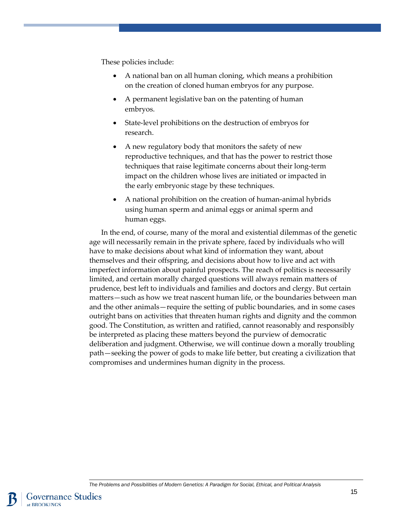These policies include:

- A national ban on all human cloning, which means a prohibition on the creation of cloned human embryos for any purpose.
- A permanent legislative ban on the patenting of human embryos.
- State-level prohibitions on the destruction of embryos for research.
- A new regulatory body that monitors the safety of new reproductive techniques, and that has the power to restrict those techniques that raise legitimate concerns about their long-term impact on the children whose lives are initiated or impacted in the early embryonic stage by these techniques.
- A national prohibition on the creation of human-animal hybrids using human sperm and animal eggs or animal sperm and human eggs.

In the end, of course, many of the moral and existential dilemmas of the genetic age will necessarily remain in the private sphere, faced by individuals who will have to make decisions about what kind of information they want, about themselves and their offspring, and decisions about how to live and act with imperfect information about painful prospects. The reach of politics is necessarily limited, and certain morally charged questions will always remain matters of prudence, best left to individuals and families and doctors and clergy. But certain matters—such as how we treat nascent human life, or the boundaries between man and the other animals—require the setting of public boundaries, and in some cases outright bans on activities that threaten human rights and dignity and the common good. The Constitution, as written and ratified, cannot reasonably and responsibly be interpreted as placing these matters beyond the purview of democratic deliberation and judgment. Otherwise, we will continue down a morally troubling path—seeking the power of gods to make life better, but creating a civilization that compromises and undermines human dignity in the process.